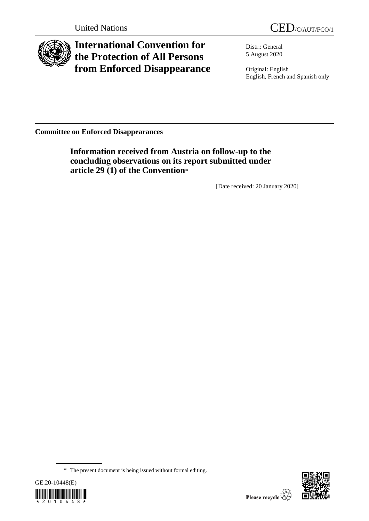



# **International Convention for the Protection of All Persons from Enforced Disappearance**

Distr.: General 5 August 2020

Original: English English, French and Spanish only

**Committee on Enforced Disappearances**

**Information received from Austria on follow-up to the concluding observations on its report submitted under article 29 (1) of the Convention**\*

[Date received: 20 January 2020]

<sup>\*</sup> The present document is being issued without formal editing.



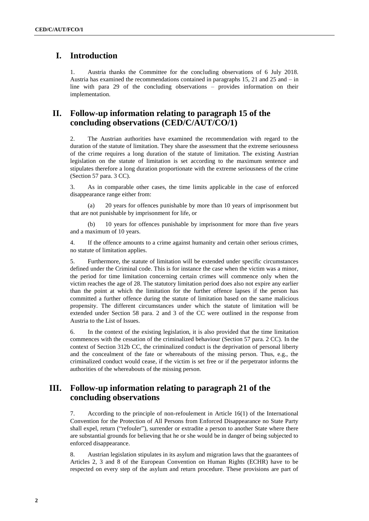## **I. Introduction**

1. Austria thanks the Committee for the concluding observations of 6 July 2018. Austria has examined the recommendations contained in paragraphs 15, 21 and 25 and – in line with para 29 of the concluding observations – provides information on their implementation.

### **II. Follow-up information relating to paragraph 15 of the concluding observations (CED/C/AUT/CO/1)**

2. The Austrian authorities have examined the recommendation with regard to the duration of the statute of limitation. They share the assessment that the extreme seriousness of the crime requires a long duration of the statute of limitation. The existing Austrian legislation on the statute of limitation is set according to the maximum sentence and stipulates therefore a long duration proportionate with the extreme seriousness of the crime (Section 57 para. 3 CC).

3. As in comparable other cases, the time limits applicable in the case of enforced disappearance range either from:

(a) 20 years for offences punishable by more than 10 years of imprisonment but that are not punishable by imprisonment for life, or

(b) 10 years for offences punishable by imprisonment for more than five years and a maximum of 10 years.

4. If the offence amounts to a crime against humanity and certain other serious crimes, no statute of limitation applies.

5. Furthermore, the statute of limitation will be extended under specific circumstances defined under the Criminal code. This is for instance the case when the victim was a minor, the period for time limitation concerning certain crimes will commence only when the victim reaches the age of 28. The statutory limitation period does also not expire any earlier than the point at which the limitation for the further offence lapses if the person has committed a further offence during the statute of limitation based on the same malicious propensity. The different circumstances under which the statute of limitation will be extended under Section 58 para. 2 and 3 of the CC were outlined in the response from Austria to the List of Issues.

6. In the context of the existing legislation, it is also provided that the time limitation commences with the cessation of the criminalized behaviour (Section 57 para. 2 CC). In the context of Section 312b CC, the criminalized conduct is the deprivation of personal liberty and the concealment of the fate or whereabouts of the missing person. Thus, e.g., the criminalized conduct would cease, if the victim is set free or if the perpetrator informs the authorities of the whereabouts of the missing person.

#### **III. Follow-up information relating to paragraph 21 of the concluding observations**

7. According to the principle of non-refoulement in Article 16(1) of the International Convention for the Protection of All Persons from Enforced Disappearance no State Party shall expel, return ("refouler"), surrender or extradite a person to another State where there are substantial grounds for believing that he or she would be in danger of being subjected to enforced disappearance.

8. Austrian legislation stipulates in its asylum and migration laws that the guarantees of Articles 2, 3 and 8 of the European Convention on Human Rights (ECHR) have to be respected on every step of the asylum and return procedure. These provisions are part of